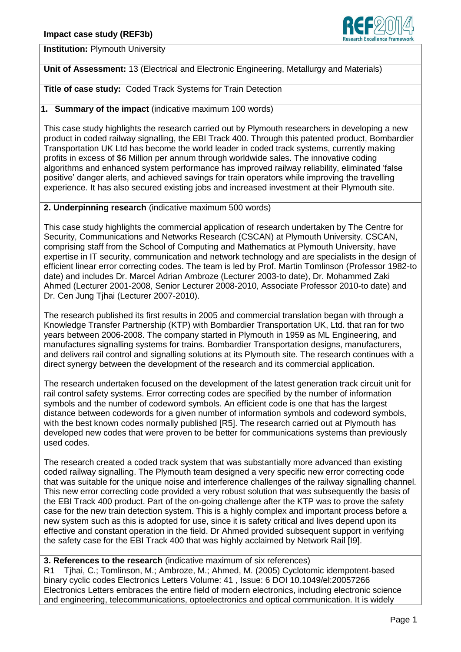

**Institution:** Plymouth University

**Unit of Assessment:** 13 (Electrical and Electronic Engineering, Metallurgy and Materials)

**Title of case study:** Coded Track Systems for Train Detection

**1. Summary of the impact** (indicative maximum 100 words)

This case study highlights the research carried out by Plymouth researchers in developing a new product in coded railway signalling, the EBI Track 400. Through this patented product, Bombardier Transportation UK Ltd has become the world leader in coded track systems, currently making profits in excess of \$6 Million per annum through worldwide sales. The innovative coding algorithms and enhanced system performance has improved railway reliability, eliminated 'false positive' danger alerts, and achieved savings for train operators while improving the travelling experience. It has also secured existing jobs and increased investment at their Plymouth site.

## **2. Underpinning research** (indicative maximum 500 words)

This case study highlights the commercial application of research undertaken by The Centre for Security, Communications and Networks Research (CSCAN) at Plymouth University. CSCAN, comprising staff from the School of Computing and Mathematics at Plymouth University, have expertise in IT security, communication and network technology and are specialists in the design of efficient linear error correcting codes. The team is led by Prof. Martin Tomlinson (Professor 1982-to date) and includes Dr. Marcel Adrian Ambroze (Lecturer 2003-to date), Dr. Mohammed Zaki Ahmed (Lecturer 2001-2008, Senior Lecturer 2008-2010, Associate Professor 2010-to date) and Dr. Cen Jung Tjhai (Lecturer 2007-2010).

The research published its first results in 2005 and commercial translation began with through a Knowledge Transfer Partnership (KTP) with Bombardier Transportation UK, Ltd. that ran for two years between 2006-2008. The company started in Plymouth in 1959 as ML Engineering, and manufactures signalling systems for trains. Bombardier Transportation designs, manufacturers, and delivers rail control and signalling solutions at its Plymouth site. The research continues with a direct synergy between the development of the research and its commercial application.

The research undertaken focused on the development of the latest generation track circuit unit for rail control safety systems. Error correcting codes are specified by the number of information symbols and the number of codeword symbols. An efficient code is one that has the largest distance between codewords for a given number of information symbols and codeword symbols, with the best known codes normally published [R5]. The research carried out at Plymouth has developed new codes that were proven to be better for communications systems than previously used codes.

The research created a coded track system that was substantially more advanced than existing coded railway signalling. The Plymouth team designed a very specific new error correcting code that was suitable for the unique noise and interference challenges of the railway signalling channel. This new error correcting code provided a very robust solution that was subsequently the basis of the EBI Track 400 product. Part of the on-going challenge after the KTP was to prove the safety case for the new train detection system. This is a highly complex and important process before a new system such as this is adopted for use, since it is safety critical and lives depend upon its effective and constant operation in the field. Dr Ahmed provided subsequent support in verifying the safety case for the EBI Track 400 that was highly acclaimed by Network Rail [I9].

## **3. References to the research** (indicative maximum of six references)

R1 Tjhai, C.; Tomlinson, M.; Ambroze, M.; Ahmed, M. (2005) Cyclotomic idempotent-based binary cyclic codes Electronics Letters Volume: 41 , Issue: 6 DOI 10.1049/el:20057266 Electronics Letters embraces the entire field of modern electronics, including electronic science and engineering, telecommunications, optoelectronics and optical communication. It is widely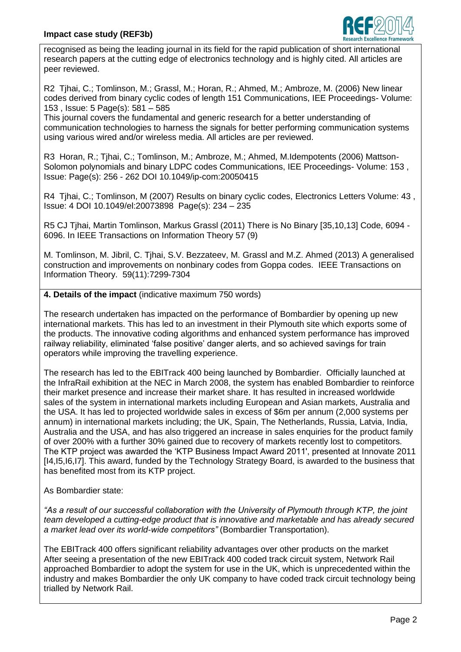

recognised as being the leading journal in its field for the rapid publication of short international research papers at the cutting edge of electronics technology and is highly cited. All articles are peer reviewed.

R2 Tjhai, C.; Tomlinson, M.; Grassl, M.; Horan, R.; Ahmed, M.; Ambroze, M. (2006) New linear codes derived from binary cyclic codes of length 151 Communications, IEE Proceedings- Volume: 153 , Issue: 5 Page(s): 581 – 585

This journal covers the fundamental and generic research for a better understanding of communication technologies to harness the signals for better performing communication systems using various wired and/or wireless media. All articles are per reviewed.

R3 Horan, R.; Tjhai, C.; Tomlinson, M.; Ambroze, M.; Ahmed, M.Idempotents (2006) Mattson-Solomon polynomials and binary LDPC codes Communications, IEE Proceedings- Volume: 153 , Issue: Page(s): 256 - 262 DOI 10.1049/ip-com:20050415

R4 Tjhai, C.; Tomlinson, M (2007) Results on binary cyclic codes, Electronics Letters Volume: 43 , Issue: 4 DOI 10.1049/el:20073898 Page(s): 234 – 235

R5 CJ Tjhai, Martin Tomlinson, Markus Grassl (2011) There is No Binary [35,10,13] Code, 6094 - 6096. In IEEE Transactions on Information Theory 57 (9)

M. Tomlinson, M. Jibril, C. Tjhai, S.V. Bezzateev, M. Grassl and M.Z. Ahmed (2013) A generalised construction and improvements on nonbinary codes from Goppa codes. IEEE Transactions on Information Theory. 59(11):7299-7304

## **4. Details of the impact** (indicative maximum 750 words)

The research undertaken has impacted on the performance of Bombardier by opening up new international markets. This has led to an investment in their Plymouth site which exports some of the products. The innovative coding algorithms and enhanced system performance has improved railway reliability, eliminated 'false positive' danger alerts, and so achieved savings for train operators while improving the travelling experience.

The research has led to the EBITrack 400 being launched by Bombardier. Officially launched at the InfraRail exhibition at the NEC in March 2008, the system has enabled Bombardier to reinforce their market presence and increase their market share. It has resulted in increased worldwide sales of the system in international markets including European and Asian markets, Australia and the USA. It has led to projected worldwide sales in excess of \$6m per annum (2,000 systems per annum) in international markets including; the UK, Spain, The Netherlands, Russia, Latvia, India, Australia and the USA, and has also triggered an increase in sales enquiries for the product family of over 200% with a further 30% gained due to recovery of markets recently lost to competitors. The KTP project was awarded the 'KTP Business Impact Award 2011', presented at Innovate 2011 [14,15,16,17]. This award, funded by the Technology Strategy Board, is awarded to the business that has benefited most from its KTP project.

As Bombardier state:

*"As a result of our successful collaboration with the University of Plymouth through KTP, the joint team developed a cutting-edge product that is innovative and marketable and has already secured a market lead over its world-wide competitors"* (Bombardier Transportation).

The EBITrack 400 offers significant reliability advantages over other products on the market After seeing a presentation of the new EBITrack 400 coded track circuit system, Network Rail approached Bombardier to adopt the system for use in the UK, which is unprecedented within the industry and makes Bombardier the only UK company to have coded track circuit technology being trialled by Network Rail.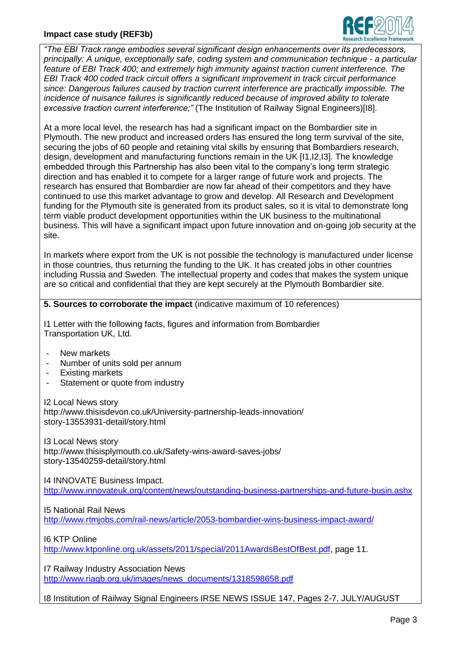## **Impact case study (REF3b)**



*"The EBI Track range embodies several significant design enhancements over its predecessors, principally: A unique, exceptionally safe, coding system and communication technique - a particular feature of EBI Track 400; and extremely high immunity against traction current interference. The EBI Track 400 coded track circuit offers a significant improvement in track circuit performance since: Dangerous failures caused by traction current interference are practically impossible. The incidence of nuisance failures is significantly reduced because of improved ability to tolerate excessive traction current interference;"* (The Institution of Railway Signal Engineers)[I8].

At a more local level, the research has had a significant impact on the Bombardier site in Plymouth. The new product and increased orders has ensured the long term survival of the site, securing the jobs of 60 people and retaining vital skills by ensuring that Bombardiers research, design, development and manufacturing functions remain in the UK [I1,I2,I3]. The knowledge embedded through this Partnership has also been vital to the company's long term strategic direction and has enabled it to compete for a larger range of future work and projects. The research has ensured that Bombardier are now far ahead of their competitors and they have continued to use this market advantage to grow and develop. All Research and Development funding for the Plymouth site is generated from its product sales, so it is vital to demonstrate long term viable product development opportunities within the UK business to the multinational business. This will have a significant impact upon future innovation and on-going job security at the site.

In markets where export from the UK is not possible the technology is manufactured under license in those countries, thus returning the funding to the UK. It has created jobs in other countries including Russia and Sweden. The intellectual property and codes that makes the system unique are so critical and confidential that they are kept securely at the Plymouth Bombardier site.

**5. Sources to corroborate the impact** (indicative maximum of 10 references)

I1 Letter with the following facts, figures and information from Bombardier Transportation UK, Ltd.

- New markets
- Number of units sold per annum
- Existing markets
- Statement or quote from industry

I2 Local News story http://www.thisisdevon.co.uk/University-partnership-leads-innovation/ story-13553931-detail/story.html

I3 Local News story http://www.thisisplymouth.co.uk/Safety-wins-award-saves-jobs/ story-13540259-detail/story.html

I4 INNOVATE Business Impact. <http://www.innovateuk.org/content/news/outstanding-business-partnerships-and-future-busin.ashx>

I5 National Rail News

<http://www.rtmjobs.com/rail-news/article/2053-bombardier-wins-business-impact-award/>

I6 KTP Online

[http://www.ktponline.org.uk/assets/2011/special/2011AwardsBestOfBest.pdf,](http://www.ktponline.org.uk/assets/2011/special/2011AwardsBestOfBest.pdf) page 11.

I7 Railway Industry Association News [http://www.riagb.org.uk/images/news\\_documents/1318598658.pdf](http://www.riagb.org.uk/images/news_documents/1318598658.pdf)

I8 Institution of Railway Signal Engineers IRSE NEWS ISSUE 147, Pages 2-7, JULY/AUGUST